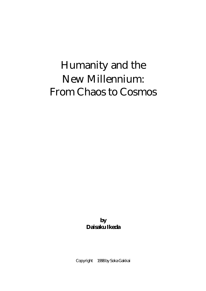# Humanity and the New Millennium: From Chaos to Cosmos

**by Daisaku Ikeda** 

Copyright 1998 by Soka Gakkai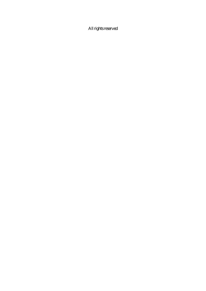All rights reserved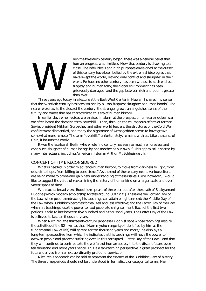# We set the set of the set of the set of the set of the set of the set of the set of the set of the set of the set of the set of the set of the set of the set of the set of the set of the set of the set of the set of the se

hen the twentieth century began, there was a general belief that human progress was limitless. Now that century is drawing to a close. The lofty ideals and high purposes envisioned at the outset of this century have been belied by the extremist ideologies that have swept the world, leaving only conflict and slaughter in their wake. Perhaps no other century has been witness to such endless tragedy and human folly; the global environment has been grievously damaged, and the gap between rich and poor is greater than ever.

 Three years ago today in a lecture at the East-West Center in Hawaii, I shared my sense that the twentieth century has been stained by all-too-frequent slaughter at human hands.<sup>1</sup> The nearer we draw to the close of the century, the stronger grows an anguished sense of the futility and waste that has characterized this era of human history.

 In earlier days when voices were raised in alarm at the prospect of full-scale nuclear war, we often heard the dreaded term "overkill." Then, through the courageous efforts of former Soviet president Mikhail Gorbachev and other world leaders, the structures of the Cold War conflict were dismantled, and today the nightmare of Armageddon seems to have grown somewhat more remote. The term "overkill," unfortunately, remains with us. Like the curse of Cain, it haunts the world.

 It was the late Isaiah Berlin who wrote "no century has seen so much remorseless and continued slaughter of human beings by one another as our own." $^2$  This appraisal is shared by many intellectuals, including American historian Arthur M. Schlesinger, Jr.

# CONCEPT OF TIME RECONSIDERED

 What is needed in order to advance human history, to move from darkness to light, from despair to hope, from killing to coexistence? As the end of the century nears, various efforts are being made to probe and gain new understanding of these issues. Here, however, I would like to suggest the value of reexamining the history of humankind on a larger scale and over vaster spans of time.

 With such a broad view, Buddhism speaks of three periods after the death of Shakyamuni Buddha [which modern scholarship locates around 500 B.C.E.]. These are the Former Day of the Law when people embracing his teachings can attain enlightenment; the Middle Day of the Law when Buddhism becomes formalized and less effective; and the Latter Day of the Law when his teachings lose the power to lead people to enlightenment. Each of the first two periods is said to last between five hundred and a thousand years. The Latter Day of the Law is believed to last ten thousand years.

 When Nichiren, the thirteenth-century Japanese Buddhist sage whose teachings inspire the activities of the SGI, writes that "Nam-myoho-renge-kyo [identified by him as the fundamental Law of life] will spread for ten thousand years and more," he displays a long-term perspective from which he indicates that his teachings will have the power to awaken people and prevent suffering even in this corrupted "Latter Day of the Law," and that they will continue to contribute to the welfare of human society into the distant future even ten thousand and more years hence. This is a far-reaching perspective, a great prospect for the future, derived from an extraordinarily profound conviction.

 Nichiren's approach can be said to represent the essence of the Buddhist view of history. The three time periods should not be understood in formalistic or categorical terms. Nor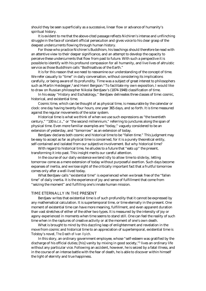should they be seen superficially as a successive, linear flow or advance of humanity's spiritual history.

 It is evident to me that the above-cited passage reflects Nichiren's intense and unflinching struggle in the face of constant official persecution and gives voice to his clear grasp of the deepest undercurrents flowing through human history.

 For those who practice Nichiren's Buddhism, his teachings should therefore be read with an attentive view to their deeper significance, and an attempt to develop the capacity to perceive these undercurrents that flow from past to future. With such a perspective it is possible to identify with his profound compassion for all humanity, and live lives of altruistic service as those Buddhism calls "Bodhisattvas of the Earth."

 It is for this reason that we need to reexamine our understanding of the concept of time. We refer casually to "time" in daily conversation, without considering its implications carefully, or being aware of its profundity. Time was a subject of great interest to philosophers such as Martin Heidegger,<sup>3</sup> and Henri Bergson.<sup>4</sup> To facilitate my own exposition, I would like to draw on Russian philosopher Nikolai Berdjaev's (1874-1948) classification of time.

 In his essay "History and Eschatology," Berdjaev delineates three classes of time: cosmic, historical, and existential time.

 Cosmic time, which can be thought of as physical time, is measurable by the calendar or clock: one day having twenty-four hours, one year 365 days, and so forth. It is time measured against the regular movements of the solar system.

 Historical time is what we think of when we use such expressions as "the twentieth century," "100 B.C.E.," or "the second millennium," referring to junctures along the span of physical time. Even more familiar examples are "today," vaguely considered to be an extension of yesterday, and "tomorrow" as an extension of today.

 Berdjaev declares both cosmic and historical time to be "fallen time." This judgment may be easy to accept as far as physical time is concerned, for it is a purely theoretical entity, self-contained and isolated from our subjective involvement. But why historical time?

 With regard to historical time, he alludes to a future that "eats up" the present, transforming it into past. This insight merits our careful attention.

 In the course of our daily existence we tend idly to allow time to slide by, letting tomorrow come as a mere extension of today without purposeful exertion. Such days become expanses of inertia, and we lose sight of the critically important fact that a fruitful tomorrow comes only after a well-lived today.

 What Berdjaev calls "existential time" is experienced when we break free of the "fallen time" of daily inertia. It is the experience of joy and sense of fulfillment that come from "seizing the moment" and fulfilling one's innate human mission.

#### TIME ETERNALLY IN THE PRESENT

 Berdjaev writes that existential time is of such profundity that it cannot be expressed by any mathematical calculation. It is supertemporal time, or time eternally in the present. One moment of existential time can have more meaning, fulfillment, and even apparent duration than vast stretches of either of the other two types. It is measured by the intensity of joy or agony experienced in moments when time seems to stand still. One can feel the reality of such time when in the raptures of creative activity or at the moment of one's own death.

 What is brought to mind by this dazzling leap of enlightenment and revelation in the move from cosmic and historical time to an appreciation of supertemporal, existential time is Tolstoy's novel, *The Death of Ivan Ilyich*.

 In this story, an ordinary government employee, whose "self-esteem was gratified by the discharge of his official duties; [his] vanity by mixing in good society,"5 lives an ordinary life without any particular vice. Following an accident, however, he is seized by a fatal illness, and in the course of an intense battle with the fear of death, he is able to discover within himself the light of eternity and true happiness.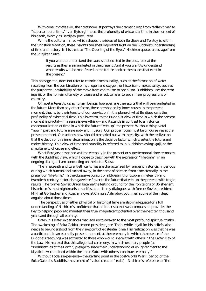With consummate skill, the great novelist portrays the dramatic leap from "fallen time" to "supertemporal time." Ivan Ilyich glimpses the profundity of existential time in the moment of his death, exactly as Berdjaev postulated.

 While the cultural milieu which shaped the ideas of both Berdjaev and Tolstoy is within the Christian tradition, these insights can shed important light on the Buddhist understanding of time and history. In his treatise "The Opening of the Eyes," Nichiren quotes a passage from the *Shinjikan* Sutra:

> If you want to understand the causes that existed in the past, look at the results as they are manifested in the present. And if you want to understand what results will be manifested in the future, look at the causes that exist in the present.<sup>6</sup>

This passage, too, does not refer to cosmic-time causality, such as the formation of water resulting from the combination of hydrogen and oxygen; or historical-time causality, such as the purported inevitability of the move from capitalism to socialism. Buddhism uses the term *inga iji*, or the non-simultaneity of cause and effect, to refer to such linear progressions of causality.

 Of most interest to us as human beings, however, are the results that will be manifested in the future. More than any other factor, these are shaped by inner causes in the present moment, that is, by the intensity of our conviction in the plane of what Berdjaev calls the profundity of existential time. This is central to the Buddhist view of time in which the present moment is pivotal—in a sense is everything—and it stands in contrast to a historical conceptualization of time in which the future "eats up" the present. Without this pivotal "now," past and future are empty and illusory. Our proper focus must be on ourselves at the present moment. Our actions now should be carried out with intensity, with the realization that the depth of this inner determination is the decisive factor which creates the future and makes history. This view of time and causality is referred to in Buddhism as *inga guji*, or the simultaneity of cause and effect.

 What Berdjaev described as time eternally in the present or supertemporal time resonates with the Buddhist view, which I chose to describe with the expression "life-time"<sup>7</sup> in an ongoing dialogue I am conducting on the Lotus Sutra.

 The nineteenth and twentieth centuries are characterized by rampant historicism, periods during which humankind turned away, in the name of science, from time eternally in the present or "life-time." In the obsessive pursuit of a blueprint for utopia, nineteenth- and twentieth-century historicism gave itself over to the future that eats up the present, with tragic results. The former Soviet Union became the testing ground for the iron talons of Bolshevism, historicism's most nightmarish manifestation. In my dialogues with former Soviet president Mikhail Gorbachev and Russian novelist Chingiz Aitmatov, both men spoke of their deep anguish about those times.

 The perspectives of either physical or historical time are also inadequate for a full understanding of Nichiren's confidence that an inner state of vast compassion provides the key to helping people to manifest their true, magnificent potential over the next ten thousand years and through all eternity.

 Often it is bitter experiences that lead us to awaken to the most profound spiritual truths. The awakening of Soka Gakkai second president Josei Toda, while in jail for his beliefs, also needs to be understood from the viewpoint of existential time. His realization was that he was a participant, in an eternally present moment, at the ceremony in which the essence of the Buddha's teachings was entrusted to those who would share it with others in the Latter Day of the Law. He realized that this allegorical ceremony, in which ordinary people (as "Bodhisattvas of the Earth") pledge to share their understanding of enlightenment to the Mystic Law contained within the Lotus Sutra with others, continues eternally."

 Without Toda's experience—the starting point in the post-World War II period of the Soka Gakkai's Buddhist movement of "value-creation" (*soka*)—Nichiren's reference to "the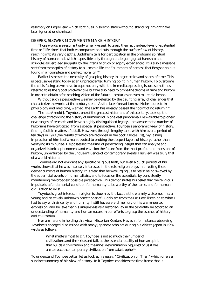assembly on Eagle Peak which continues in solemn state without disbanding"8 might have been ignored or dismissed.

# DEEPER, SLOWER MOVEMENTS MAKE HISTORY

 Those words are resonant only when we seek to grasp them at the deep level of existential time or "life-time" that both encompasses and cuts through the surface flow of history, reaching into its very depths. Buddhism calls for participation in the profound spiritual history of humankind, which is possible only through undergoing great hardship and struggle; as Berdjaev suggests, by the intensity of joy or agony experienced. It is also a message sent from the depths of history to all cosmic life, the "summons of heroes" that Bergson said is found in a "complete and perfect morality."9

 Earlier I stressed the necessity of grasping history in larger scales and spans of time. This is because we stand today at an unprecedented turning point in human history. To overcome the crisis facing us we have to cope not only with the immediate pressing issues sometimes referred to as the global *problématique,* but we also need to probe the depths of time and history in order to obtain a far-reaching vision of the future—centuries or even millennia hence.

 Without such a perspective we may be defeated by the daunting array of challenges that characterize the world at the century's end. As the late Konrad Lorenz, Nobel laureate in physiology and medicine, warned, the Earth has already passed the "point of no return."10

 The late Arnold J. Toynbee, one of the greatest historians of this century, took up the challenge of recording the history of humankind in one vast panorama. He was able to pioneer new ranges of research and leave a highly distinguished legacy. I am aware that a number of historians have criticized, from a specialist perspective, Toynbee's panoramic view of history, finding fault in matters of detail. However, through lengthy talks with him over a period of ten days in 1973 (the results of which are recorded in the book *Choose Life*), my lasting impression of him is of a man devoted to probing the deepest layers of history, rather than verifying its minutiae. He possessed the kind of penetrating insight that can analyze and organize historical phenomena and envision the future from the most profound dimensions of history, unperturbed by the undue influence of contemporary events. His view was truly that of a world historian.

 Toynbee did not embrace any specific religious faith, but even a quick perusal of his works shows that he was intensely interested in the role religion plays in directing these deeper currents of human history. It is clear that he was urging us to resist being swayed by the superficial events of human affairs, and to focus on the essentials, by consistently maintaining the broadest possible perspective. This demonstrates his belief that the religious impulse is a fundamental condition for humanity to be worthy of the name, and for human civilization to exist.

 Toynbee's great interest in religion is shown by the fact that he warmly welcomed me, a young and relatively unknown practitioner of Buddhism from the Far East, listening to what I had to say with sincerity and humility. I still have a vivid memory of his warmhearted expression, and believe that his uniqueness as a historian lay in the centrality he accorded an understanding of humanity and human nature in our efforts to grasp the essence of history and civilization.

 Nor am I alone in holding this view. Historian Kentaro Hayashi, for instance, observing Toynbee's engaged discussions with many Japanese scholars during his visit to Japan in 1956, wrote as follows:

> What matters most to Dr. Toynbee is not so much the number of civilizations and their rise and fall, as the essential quality of human spirit that builds a civilization and the inner determination required of us if we are to rescue contemporary civilization from catastrophe.<sup>11</sup>

To understand Toynbee better, let us look at his essay, "Civilization on Trial," which offers a succinct summary of his view of history. In it Toynbee considers the time frame that is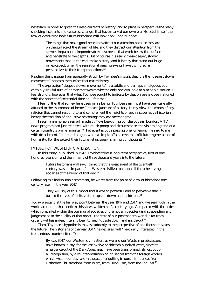necessary in order to grasp the deep currents of history, and to place in perspective the many shocking incidents and ceaseless changes that have marked our own era. He sets himself the task of describing how future historians will look back upon our age:

> The things that make good headlines attract our attention because they are on the surface of the stream of life, and they distract our attention from the slower, impalpable, imponderable movements that work below the surface and penetrate to the depths. But of course it is really these deeper, slower movements that, in the end, make history, and it is they that stand out huge in retrospect, when the sensational passing events have dwindled, in perspective, to their true proportions.12

Reading this passage, I am especially struck by Toynbee's insight that it is the "deeper, slower movements" beneath the surface that make history.

 The expression "deeper, slower movements" is a subtle and perhaps ambiguous but certainly skillful turn of phrase that was maybe the only one available to him as a historian. I feel strongly, however, that what Toynbee sought to indicate by that phrase is closely aligned with the concept of existential time or "life-time."

 I feel further that somewhere deep in his being, Toynbee's ear must have been carefully attuned to the "summons of heroes" at each juncture of history. In my view, the words of any religion that cannot respond to and complement the insights of such a superlative historian betray the tradition of deductive reasoning; they are mere dogma.

 I recall a memorable remark made by Toynbee during our dialogue in London. A TV news program had just reported, with much pomp and circumstance, the visit to England of a certain country's prime minister. "That event is but a passing phenomenon," he said to me with detachment, "but our dialogue, while a simple affair, seeks to profit future generations of humanity. For the sake of their future, let us speak, sharing our thoughts."

## IMPACT OF WESTERN CIVILIZATION

 In this essay, published in 1947, Toynbee takes a long-term perspective, first of one hundred years on, and then finally of three thousand years into the future:

> Future historians will say, I think, that the great event of the twentieth century was the impact of the Western civilization upon all the other living societies of the world of that day.<sup>13</sup>

Following this indisputable statement, he writes from the point of view of historians one century later, in the year 2047:

> They will say of this impact that it was so powerful and so pervasive that it turned the lives of all its victims upside down and inside out.<sup>14</sup>

Today we stand at the halfway point between the year 1947 and 2047, and we see much in the world around us that confirms his view, written half a century ago. Compared with the order which prevailed within the communal societies of premodern peoples (and suspending any judgment as to the quality of that order), the state of our postmodern world is far from orderly—it has indeed literally been turned "upside down and inside out."

 Then, Toynbee's hypothesis moves suddenly to the perspective of one thousand years in the future. The historians of the year 3047, he declares, will "be chiefly interested in the tremendous counter-effects":

> By A.D. 3047, our Western civilization, as we and our Western predecessors have known it, say, for the last twelve or thirteen hundred years, since its emergence out of the Dark Ages, may have been transformed, almost out of all recognition, by a counter-radiation of influences from the foreign worlds which we, in our day, are in the act of engulfing in ours—influences from Orthodox Christendom, from Islam, from Hinduism, from the Far East.15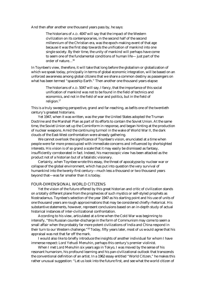And then after another one thousand years pass by, he says:

The historians of A.D. 4047 will say that the impact of the Western civilization on its contemporaries, in the second half of the second millennium of the Christian era, was the epoch-making event of that age because it was the first step towards the unification of mankind into one single society. By their time, the unity of mankind will perhaps have come to seem one of the fundamental conditions of human life— just part of the order of nature…16

In Toynbee's view, therefore, it will take that long before the globalism or globalization of which we speak today, principally in terms of global economic integration, will be based on an unforced awareness among global citizens that we share a common destiny as passengers on what has been termed "spaceship Earth." Then another one thousand years elapse:

> The historians of A.D. 5047 will say, I fancy, that the importance of this social unification of mankind was not to be found in the field of technics and economics, and not in the field of war and politics, but in the field of religion.17

This is a truly sweeping perspective, grand and far-reaching, as befits one of the twentieth century's greatest historians.

 Yet 1947, when it was written, was the year the United States adopted the Truman Doctrine and the Marshall Plan as part of its efforts to contain the Soviet Union. At the same time, the Soviet Union set up the Cominform in response, and began hinting at the production of nuclear weapons. Amid the continuing turmoil in the wake of World War II, the dark clouds of the East-West confrontation were already gathering.

 We cannot overlook the significance of Toynbee's vision, enunciated at a time when people were far more preoccupied with immediate concerns and influenced by shortsighted interests. His vision is of so grand a scale that it may easily be dismissed as fantasy, insufficiently corroborated in fact. Indeed, his macroscopic view has been attacked as the product not of a historian but of a fatalistic visionary.

 Certainly, when Toynbee wrote this essay, the threat of apocalypse by nuclear war or collapse of the global environment, which has put into question the very survival of humankind into the twenty-first century—much less a thousand or two thousand years beyond that—was far smaller than it is today.

# FOUR-DIMENSIONAL WORLD CITIZENS

 Yet the vision of the future offered by this great historian and critic of civilization stands on a totally different plane from the prophecies of such mystics or self-styled prophets as Nostradamus. Toynbee's selection of the year 1947 as his starting point and his use of units of one thousand years are rough approximations that may be considered chiefly rhetorical. His substantive statements, however, represent conclusions based on an in-depth study of actual historical instances of inter-civilizational confrontation.

 According to his view, articulated at a time when the Cold War was beginning to intensify, "this Russian counter-discharge in the form of Communism may come to seem a small affair when the probably far more potent civilizations of India and China respond in their turn to our Western challenge."18 Today, fifty years later, most of us would agree that his appraisal was not that far off the mark.

 I would also like to briefly introduce the insights of another individual for whom I have immense respect: Lord Yehudi Menuhin, perhaps this century's premier violinist.

 When I met Lord Menuhin six years ago in Tokyo, I was moved by the sense of his resonant humanism, his profound learning and his pan-civilizational outlook that transcends the conventional definition of an artist. In a 1962 essay entitled "World Citizen," he makes this rather unusual suggestion: "Let us look into the future first, and see what the world citizen of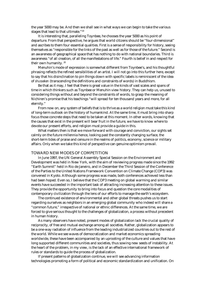the year 5000 may be. And then we shall see in what ways we can begin to take the various stages that lead to that ultimate."19

 It is interesting that, paralleling Toynbee, he chooses the year 5000 as his point of departure. From that perspective, he argues that world citizens should be "four-dimensional" and ascribes to them four essential qualities. First is a sense of responsibility for history, seeing themselves as "responsible for the links of the past as well as for those of the future." Second is an awareness of geographical space that has nothing to do with national boundaries. Third is awareness "of all creation, of all the manifestations of life." Fourth is belief in and respect for their own humanity. 20

 Menuhin's mode of expression is somewhat different from Toynbee's, and his thoughtful phrasing reflects the refined sensibilities of an artist. I will not go into this further here, except to say that his disinclination to pin things down with specific labels is reminiscent of the idea of *shusseken* (transcending the definitions and constraints of words) in Buddhism.

 Be that as it may, I feel that there is great value in the kinds of vast scales and spans of time in which thinkers such as Toynbee or Menuhin view history. They can help us, unused to considering things without and beyond the constraints of words, to grasp the meaning of Nichiren's promise that his teachings "will spread for ten thousand years and more, for all eternity."

 From now on, any system of beliefs that is to thrive as a world religion must take this kind of long-term outlook on the history of humankind. At the same time, it must bring into sharp focus those concrete steps that need to be taken at this moment. In other words, knowing that the causes that exist in the present will bear fruit in the future, we have to know where to devote our present efforts, and religion must provide a guide in this.

 What matters then is that we move forward with courage and conviction, our sights set calmly on the future millennia hence, looking past the constantly changing surface, the short-term tides of praise and censure in the realms of politics, economy, science or military affairs. Only when we take this kind of perspective can genuine optimism prevail.

## TOWARD NEW MODES OF COMPETITION

 In June 1997, the UN General Assembly Special Session on the Environment and Development was held in New York, with the aim of reviewing progress made since the 1992 "Earth Summit" held in Rio de Janeiro, and in December the Third Session of the Conference of the Parties to the United Nations Framework Convention on Climate Change (COP3) was convened in Kyoto. Although some progress was made, both conferences achieved less than had been hoped. Even so, I believe that the COP3 meeting on global warming and similar events have succeeded in the important task of attracting increasing attention to these issues. They provide the opportunity to bring into focus and question the core modalities of contemporary civilization through the lens of our efforts to manage the earth's ecosystem.

 The continued existence of environmental and other global threats pushes us to start regarding ourselves as neighbors in an emerging global community who indeed will share a "common future," irrespective of national or ethnic differences. At the same time, we are forced to give serious thought to the challenges of globalization, a process without precedent in human history.

 As many observers have noted, present modes of globalization lack the crucial quality of reciprocity, of free and mutual exchange among all societies. Rather, globalization appears to be a one-way radiation of influence from the leading industrialized countries out to the rest of the world. While we see waves of democratization and market economics spreading worldwide, these have been accompanied by an uprooting of the culture and values that have long supported different communities and societies, thus sowing new seeds of instability. At the heart of the problem, in my view, is the lack of an effective international framework of rules or standards to guide the process of globalization.

 If present patterns of globalization continue, we will see advancing information technologies promoting a form of political and economic standardization and unification. On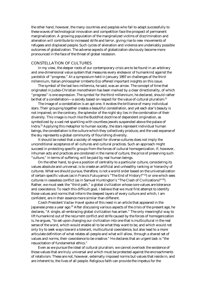the other hand, however, the many countries and peoples who fail to adapt successfully to these waves of technological innovation and competition face the prospect of permanent marginalization. A growing population of the marginalized victims of discrimination and alienation will contribute to increased strife and terror, giving rise to new movements of refugees and displaced people. Such cycles of alienation and violence are undeniably possible outcomes of globalization. The adverse aspects of globalization obviously become more pronounced in the face of the threat of global recession.

# CONSTELLATION OF CULTURES

 In my view, the deeper roots of our contemporary crisis are to be found in an arbitrary and one-dimensional value system that measures every endeavor of humankind against the yardstick of "progress." At a symposium held in January 1997 on challenges of the third millennium, Italian philosopher Umberto Eco offered important insights on this issue.

 The symbol of the last two millennia, he said, was an arrow. The concept of time that originated in Judeo-Christian monotheism has been marked by a clear directionality, of which "progress" is one expression. The symbol for the third millennium, he declared, should rather be that of a constellation—a society based on respect for the value of cultural pluralism.<sup>21</sup>

 The image of a constellation is an apt one. It evokes the brilliance of many individual stars. Their grouping together creates a beautiful constellation, and yet each star's beauty is not impaired; on the contrary, the splendor of the night sky lies in the combination of their diversity. This image is much like the Buddhist doctrine of dependent origination, as symbolized by a vast net sparkling with countless jewels suspended above the palace of Indra.22 Applying this metaphor to human society, the stars represent individual human beings, the constellation is the culture which they collectively produce, and the vast expanse of the sky represents a global community of flourishing diversity.

 It should be noted that a society of respect for diverse cultures does not imply the unconditional acceptance of all cultures and cultural practices. Such an approach might succeed in protecting specific groups from the forces of cultural homogenization. If, however, inhuman acts and practices are condoned in the name of culture, the price of preserving such "culture," in terms of suffering, will be paid by real human beings.

 On the other hand, to give a position of centrality to a particular culture, considering its values absolute and universal, is to create an artificial and unhealthy ranking or hierarchy of cultures. What we should pursue, therefore, is not a world order based on the universalization of certain specific values (as in Francis Fukuyama's "The End of History?"23) or one which sees cultures in ceaseless conflict (as in Samuel Huntington's "The Clash of Civilizations?"24). Rather, we must seek the "third path," a global civilization whose core values are tolerance and coexistence. To reach this difficult goal, I believe that we must first attempt to identify those values and norms that inform the deepest layers of every culture and which, I am confident, are in their essence more similar than different.

 Czech President Vaclav Havel spoke of this need in an article that appeared in the Japanese press a year ago.<sup>25</sup> After discussing various aspects of the crisis of the present age, he declares, "A single, all-embracing global civilization has arisen." The only meaningful way to lift humankind out of the recurrent conflict and strife caused by the forces of homogenization is, he argues, "to set upon changing our civilization into one that is multicultural in the real sense of the word, which would enable all to be what they want to be, and which would not only try to seek ways toward a tolerant, multicultural coexistence, but also lead to a more articulate definition of what relates all people and what will allow, through a shared set of values and norms, their coexistence to be creative." He declares that an urgent task is "the resuscitation of fundamental ethics."

 Even as we pursue the ideal of cultural pluralism, we cannot overlook the existence of those values that are truly universal and which must be protected against the encroachments of relativism. These are not, however, externally imposed norms but values that reside in, and are inherent to, the lives of all people. Religious faith can provide the impetus for the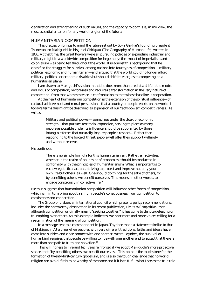clarification and strengthening of such values, and the capacity to do this is, in my view, the most essential criterion for any world religion of the future.

# HUMANITARIAN COMPETITION

 This discussion brings to mind the future set out by Soka Gakkai's founding president Tsunesaburo Makiguchi in his *Jinsei Chirigaku* (The Geography of Human Life), written in 1903. At that time, the Great Powers were all pursuing policies of expanding industrial and military might in a worldwide competition for hegemony; the impact of imperialism and colonialism was being felt throughout the world. It is against this background that he classified the struggles for survival among nations into four types of competition— military, political, economic and humanitarian—and argued that the world could no longer afford military, political, or economic rivalries but should shift its energies to competing on a humanitarian plane.

 I am drawn to Makiguchi's vision in that he does more than predict a shift in the modes and locus of competition; he foresees and requires a transformation in the very nature of competition, from that whose essence is confrontation to that whose baseline is cooperation.

 At the heart of humanitarian competition is the extension of the spiritual influence—of cultural achievement and moral persuasion—that a country or people exerts on the world. In today's terms this might be described as expansion of our "soft-power" competitiveness. He writes:

> Military and political power—sometimes under the cloak of economic strength—that pursues territorial expansion, seeking to place as many people as possible under its influence, should be supplanted by those intangible forces that naturally inspire people's respect… Rather than responding to the force of threat, people will offer their support willingly and without reserve.

#### He continues:

There is no simple formula for this humanitarianism. Rather, all activities, whether in the realm of politics or of economics, should be conducted in conformity with the principles of humanitarianism. What is important is to eschew egotistical actions, striving to protect and improve not only your own life but others' as well. One should do things for the sake of others, for by benefiting others, we benefit ourselves. This means, in other words, to engage consciously in collective life.<sup>26</sup>

He thus suggests that humanitarian competition will influence other forms of competition, which will in turn bring about a shift in people's consciousness from competition to coexistence and cooperation.

 The Group of Lisbon, an international council which presents policy recommendations, includes the noteworthy observation in its recent publication, *Limits to Competition,* that although competition originally meant "seeking together," it has come to denote defeating or triumphing over others. As this example indicates, we hear more and more voices calling for a reexamination of the meaning of competition.

 In a message sent to a correspondent in Japan, Toynbee made a statement similar to that of Makiguchi. At a time when peoples with very different traditions, faiths and ideals have come into sudden and close contact with one another, wrote Toynbee, the survival of humankind requires that people be willing to live with one another and to accept that there is more than one path to truth and salvation.<sup>27</sup>

 This willingness to live and let live is reinforced if we adopt Makiguchi's more proactive stance, that "by benefiting others, we benefit ourselves." This point is the touchstone for the formation of twenty-first-century globalism, and is also the tough challenge that no world religion can avoid if it is to be worthy of the name and if it is to fulfill what I see as the true role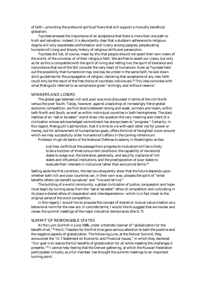of faith—providing the profound spiritual flows that will support a mutually beneficial globalism.

 Toynbee stressed the importance of an acceptance that there is more than one path to truth and salvation. Indeed, it is abundantly clear that a stubborn adherence to religious dogma will only exacerbate confrontation and rivalry among peoples, perpetuating humankind's long and bloody history of religious strife and persecution.

 Toynbee did not, of course, mean by this that people should not assert their own views of the world, of the universe, or of their religious faith. We are free to assert our views, but only as far as this is compatible with the spirit of living and letting live, the spirit of tolerance and nonviolence that we of the SGI consider the very heart of humanism. Even as Toynbee held out the possibility that humankind may one day be united in the same faith, he laid down strict guidelines for the propagation of religion, declaring that acceptance of any new faith could only be the result of the free choice of countless individuals.28 This idea coincides with what Makiguchi referred to as compliance given "willingly and without reserve."

#### WINNERS AND LOSERS

 The global gap between rich and poor was once discussed in terms of the rich North versus the poor South. Today, however, against a backdrop of increasingly fierce global economic competition, we find strains between strong and weak, winners and losers, within both North and South, as well as within individual countries in both hemispheres. The stark realities of an "eat or be eaten" world draw into question the very meaning and intent of a civilization whose acknowledged commitment has always been to "progress." Certainly, in this regard, Makiguchi's admonition, that it is time to vie with each other not for power or money, but for achievement of humanitarian goals, offers the kind of farsighted vision around which we may successfully order humankind's affairs in the coming millennium.

Professor Hugh de Santis of the National Defense Academy in Washington writes:

Just how conflictual the passage from progress to mutualism will be is likely to be a function of three concurrent conditions: the capability of revisionist states to wage war; the tolerance, generosity, and security vigilance of rich states and influential institutions; and the predisposition of poor states to evaluate their interests in inclusivist rather than exclusivist terms.<sup>29</sup>

Setting aside the first condition, the last two eloquently show that the future depends upon whether both rich and poor countries can, in their own way, possess the spirit of "what benefits others can benefit ourselves" and "live and let live."

 The building of a world community, a global civilization of justice, compassion and hope must begin by turning away from the "eat or be eaten" ethos of competition and cultivating in its place a shared ethos of cooperation and interdependence—which is in fact closer to the original sense of the word competition.

 In this regard, I would like to propose the concept of shared or mutual value-creation as a behavioral norm for the new era. In concrete terms, I would like to suggest that we review and renew the summit meetings of the major industrial democracies (the G-7).

#### SUMMIT OF RESPONSIBLE STATES

 At the Lyon Summit in June 1996, under a thematic banner of "globalization for the benefit of all,"30 the G-7 leaders for the first time gave serious attention to both the positive and the negative aspects of globalization. The following June, at the Denver Summit, they announced the "G-7 Statement on Economic and Financial Issues," in which they declared: "Our goal is to realize the full benefits of globalization for all while meeting the challenges it presents."31 I cannot help feeling that the Denver gathering, at which the Russian Federation participated virtually as a full member, has brought the summit meetings to an important turning point.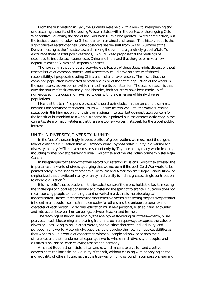From the first meeting in 1975, the summits were held with a view to strengthening and underscoring the unity of the leading Western states within the context of the ongoing Cold War conflict. Following the end of the Cold War, Russia was granted limited participation, but the basic purpose—displaying G-7 solidarity—remained unchanged. This history adds to the significance of recent changes. Some observers see the shift from G-7 to G-8 made at the Denver meeting as the first step toward making the summits a genuinely global affair. To encourage these nascent positive trends, I would like to propose that the meetings be expanded to include such countries as China and India and that the group make a new departure as the "Summit of Responsible States."

 The new summit would be a place where the leaders of these states might discuss without reserve issues of common concern, and where they could develop a sense of shared responsibility. I propose including China and India for two reasons. The first is that their combined population is expected to reach one-third of the entire population of the world in the near future, a development which in itself merits our attention. The second reason is that, over the course of their extremely long histories, both countries have been made up of numerous ethnic groups and have had to deal with the challenges of highly diverse populations.

 I feel that the term "responsible states" should be included in the name of the summit, because I am convinced that global issues will never be resolved until the world's leading states begin thinking not only of their own national interests, but demonstrate a concern for the benefit of humankind as a whole. As some have pointed out, the greatest deficiency in the current system of nation-states is that there are too few voices that speak for the global public interest.

#### UNITY IN DIVERSITY, DIVERSITY IN UNITY

 In the face of the seemingly irreversible tide of globalization, we must meet the urgent task of creating a civilization that will embody what Toynbee called "unity in diversity and diversity in unity."32 This is a need stressed not only by Toynbee but by many world leaders, including former Soviet president Mikhail Gorbachev and the late Indian prime minister Rajiv Gandhi.

 In his epilogue to the book that will record our recent discussions, Gorbachev stressed the importance of a world of diversity, urging that we not permit the post-Cold War world to be painted solely in the shades of economic liberalism and Americanism.33 Rajiv Gandhi likewise emphasized that the vibrant reality of unity in diversity is India's greatest single contribution to world civilization.34

 It is my belief that education, in the broadest sense of the word, holds the key to meeting the challenges of global responsibility and fostering the spirit of tolerance. Education does not mean coercing people to fit one rigid and unvaried mold; this is mere ideological indoctrination. Rather, it represents the most effective means of fostering the positive potential inherent in all people—self-restraint, empathy for others and the unique personality and character of each person. To do this, education must be a personal, even spiritual encounter and interaction between human beings, between teacher and learner.

 The teachings of Buddhism employ the analogy of flowering fruit trees—cherry, plum, pear, etc.—each blossoming and bearing fruit in its own unique way, to express the value of diversity. Each living thing, in other words, has a distinct character, individuality, and purpose in this world. Accordingly, people should develop their own unique capabilities as they work to build a world of cooperation where all people acknowledge both their differences and their fundamental equality, a world where a rich diversity of peoples and cultures is nourished, each enjoying respect and harmony.

 A related Buddhist principle is *jitai kensho*, which means to give full and creative expression to the intrinsic individuality of the self, without clashing with or preying on the individuality of others. It teaches that the true way of living is found in compassion, learning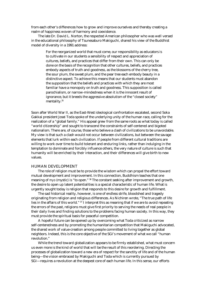from each other's differences how to grow and improve ourselves and thereby creating a realm of happiness woven of harmony and coexistence.

 The late Dr. David L. Norton, the respected American philosopher who was well versed in the educational philosophy of Tsunesaburo Makiguchi, shared his view of the Buddhist model of diversity in a 1991 address:

> For the reorganized world that must come, our responsibility as educators is to cultivate in our students a sensibility of respect and appreciation of cultures, beliefs, and practices that differ from their own. This can only be done on the basis of the recognition that other cultures, beliefs, and practices embody aspects of truth and goodness, as the blossoms of the cherry tree, the sour plum, the sweet plum, and the pear tree each embody beauty in a distinctive aspect. To achieve this means that our students must abandon the supposition that the beliefs and practices with which they are most familiar have a monopoly on truth and goodness. This supposition is called parochialism, or narrow-mindedness when it is the innocent result of ignorance, but it breeds the aggressive absolutism of the "closed society" mentality.<sup>35</sup>

Soon after World War II, as the East-West ideological confrontation escalated, second Soka Gakkai president Josei Toda spoke of the underlying unity of the human race, calling for the realization of a "global family." His appeal grew from the same roots as what today is called "world citizenship" and sought to transcend the constraints of self-centered and bigoted nationalism. There are, of course, those who believe a clash of civilizations to be unavoidable. My view is that such a clash would not occur between civilizations, but between the savage elements that lurk within each civilization. If people from different cultural traditions are willing to work over time to build tolerant and enduring links, rather than indulging in the temptation to dominate and forcibly influence others, the very nature of culture is such that humanity will be enriched by their interaction, and their differences will give birth to new values.

# HUMAN DEVELOPMENT

 The role of religion must be to provide the wisdom which can propel the effort toward mutual development and improvement. In this connection, Buddhism teaches that one meaning of *myo* (mystic) is "to open." <sup>36</sup> The constant seeking after improvement and growth, the desire to open up latent potentialities is a special characteristic of human life. What is urgently sought today is religion that responds to this desire for growth and fulfillment.

 The sad historical reality, however, is one of endless strife, bloodshed and tragedy originating from religion and religious differences. As Nichiren wrote, "The true path of life lies in the affairs of this world."  $37$  I interpret this as meaning that if we are to avoid repeating the errors of the past, religions must give first priority to serving the needs of real people in their daily lives and finding solutions to the problems facing human society. In this way, they must provide the spiritual basis for peaceful competition.

 A hopeful future can be opened up by overcoming what Toda criticized as narrow self-centeredness and by promoting the humanitarian competition that Makiguchi advocated, the shared work of value-creation among people committed to living together as global neighbors. Indeed, this is the core objective of the SGI's movement of what we call "human revolution."

 While the trend toward globalization appears to be firmly established, what must concern us even more is the kind of world that will be the result of this reordering. Directing the processes of globalization toward a new era of respect for the sanctity of life and of the human being—the vision embraced by Makiguchi and Toda which is currently pursued by SGI—requires a revolution at the deepest core of each human life. In this sense, our efforts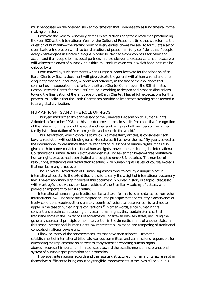must be focused on the "deeper, slower movements" that Toynbee saw as fundamental to the making of history.

 Last year the General Assembly of the United Nations adopted a resolution proclaiming the year 2000 as the International Year for the Culture of Peace. It is time that we return to the question of humanity—the starting point of every endeavor—as we seek to formulate a set of clear, basic principles on which to build a culture of peace. I am fully confident that if people everywhere engage in sincere dialogue in order to identify a common basis for belief and action, and if all people join as equal partners in the endeavor to create a culture of peace, we will witness the dawn of humankind's third millennium as an era in which happiness can be enjoyed by all.

 I was moved by such sentiments when I urged support last year for the adoption of an Earth Charter.<sup>38</sup> Such a document will give voice to the general will of humankind and offer eloquent proof of our courage, wisdom and solidarity in the face of the challenges that confront us. In support of the efforts of the Earth Charter Commission, the SGI-affiliated Boston Research Center for the 21st Century is working to deepen and broaden discussions toward the finalization of the language of the Earth Charter. I have high expectations for this process, as I believe that the Earth Charter can provide an important stepping-stone toward a future global civilization.

#### HUMAN RIGHTS AND THE ROLE OF NGOS

 This year marks the 50th anniversary of the Universal Declaration of Human Rights. Adopted in December 1948, this historic document proclaims in its Preamble that "recognition of the inherent dignity and of the equal and inalienable rights of all members of the human family is the foundation of freedom, justice and peace in the world."

 This Declaration, which contains so much in a mere thirty articles, is considered "soft law," a resolution without binding force. Nonetheless it has, over the last fifty years, served as the international community's effective standard on questions of human rights. It has also given birth to numerous international human rights conventions, including the International Covenants on Human Rights. As of September 1997, no fewer than twenty-three multilateral human rights treaties had been drafted and adopted under UN auspices. The number of resolutions, statements and declarations dealing with human rights issues, of course, exceeds that number many times over.

 The Universal Declaration of Human Rights has come to occupy a unique place in international society, to the extent that it is said to carry the weight of international customary law. The extraordinary significance of this document in human history is a topic I discussed with Austregésilo de Athayde,<sup>39</sup> late president of the Brazilian Academy of Letters, who played an important role in its drafting.

 International human rights treaties can be said to differ in a fundamental sense from other international law. The principle of reciprocity—the principle that one country's observance of treaty conditions requires other signatory countries' reciprocal observance—is said not to apply in the case of human rights conventions.40 In other words, since human rights conventions are aimed at securing universal human rights, they contain elements that transcend some of the limitations of agreements undertaken between states, including the generally sacrosanct principle of nonintervention in the domestic affairs of another state. In this sense, international human rights law represents a limitation and tempering of traditional concepts of national sovereignty.

 Likewise, many of the concrete measures that have been adopted—from the establishment of international tribunals, various committees and commissions responsible for overseeing the implementation of treaties, to systems for reporting human rights abuses—represent important, if limited, steps toward the establishment of a supranational system of human rights protection and promotion.

 However, international accords and the resulting structure of human rights law are not in themselves sufficient to bring about any tangible improvements in the lives of individuals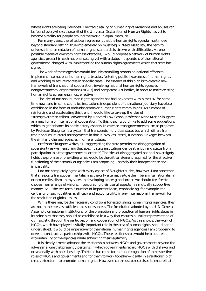whose rights are being infringed. The tragic reality of human rights violations and abuses can be found everywhere; the spirit of the Universal Declaration of Human Rights has yet to become a reality for people around the world in equal measure.

 For many years, there has been agreement that the human rights agenda must move beyond standard setting; true implementation must begin. Needless to say, the path to universal implementation of human rights standards is strewn with difficulties. As one possible means of overcoming these obstacles, I would propose a network of human rights agencies, present in each national setting yet with a status independent of the national government, charged with implementing the human rights agreements which that state has signed.

 The work of these agencies would include compiling reports on national efforts to implement international human rights treaties, fostering public awareness of human rights, and working to secure redress in specific cases. The essence of this plan is to create a new framework of transnational cooperation, involving national human rights agencies, nongovernmental organizations (NGOs) and competent UN bodies, in order to make existing human rights agreements most effective.

 The idea of national human rights agencies has had advocates within the UN for some time now, and in some countries institutions independent of the national judiciary have been established in the form of ombudspersons or human rights commissions. As a means of reinforcing and accelerating this trend, I would like to take up the idea of "transgovernmen-talism" advocated by Harvard Law School professor Anne-Marie Slaughter as a new form of international cooperation. To this idea, I would like to add some suggestions which might enhance its participatory aspects. In essence, transgovernmentalism as proposed by Professor Slaughter is a system that transcends individual states but which differs from traditional multilateral arrangements in that it involves lateral, functional linkages between the similarly charged agencies in different states.

 Professor Slaughter writes, "Disaggregating the state permits the disaggregation of sovereignty as well, ensuring that specific state institutions derive strength and status from participation in a transgovernmental order."<sup>41</sup> The idea of disaggregated national sovereignty holds the promise of providing what would be the critical element required for the effective functioning of the network of agencies I am proposing—namely their independence and impartiality.

 I do not completely agree with every aspect of Slaughter's idea, however. I am concerned that she posits transgovernmentalism as the only alternative to either liberal internationalism or neo-medievalism. In my view, in developing a new global order, we should feel free to choose from a range of visions, incorporating their useful aspects in a mutually supportive manner. Still, she sets forth a number of important ideas, emphasizing, for example, the centrality of such qualities as efficacy and accountability in any international framework for the resolution of global issues.

 While these may be the necessary conditions for establishing human rights agencies, they are not in themselves sufficient to assure success. The Resolution adopted by the UN General Assembly on national institutions for the promotion and protection of human rights states in its principles that they should be established in a way that ensures pluralist representation of civil society, through the participation and cooperation of NGOs. As this shows, the work of NGOs, which have played a vitally important role in the area of human rights, should not be undervalued. It would be imperative for the national human rights agencies I am proposing to develop constructive partnerships with NGOs. These relationships would help assure the accountability of the agencies while enhancing their legitimacy.

 It is clearly time to advance the relationship between NGOs and governments beyond the adversarial one that presently pertains, in which governments regard NGOs with disfavor and occasionally with open hostility. The time has come for mutual recognition of the respective roles of NGOs and governments and for them to work together—ideally in a relationship of creative tension—to promote human rights. However, care must be exercised to ensure that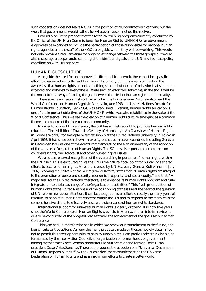such cooperation does not leave NGOs in the position of "subcontractors," carrying out the work that governments would rather, for whatever reason, not do themselves.

 I would also like to propose that the technical training programs currently conducted by the Office of the UN High Commissioner for Human Rights (UNHCHR) for government employees be expanded to include the participation of those responsible for national human rights agencies and the staff of the NGOs alongside whom they will be working. This would not only provide a regular venue for ongoing exchange between the three groups but would also encourage a deeper understanding of the ideals and goals of the UN and facilitate policy coordination with UN agencies.

# HUMAN RIGHTS CULTURE

 Alongside the need for an improved institutional framework, there must be a parallel effort to create a robust culture of human rights. Simply put, this means cultivating the awareness that human rights are not something special, but norms of behavior that should be accepted and adhered to everywhere. While such an effort will take time, in the end it will be the most effective way of closing the gap between the ideal of human rights and the reality.

 There are distinct signs that such an effort is finally under way. As one outcome of the World Conference on Human Rights in Vienna in June 1993, the United Nations Decade for Human Rights Education, 1995-2004, was established. Likewise, human rights education is one of the important objectives of the UNHCHR, which was also established in the wake of the World Conference. Thus we see the creation of a human rights culture emerging as a common theme and concern of the international community.

 In order to support this endeavor, the SGI has actively sought to promote human rights education. The exhibition "Toward a Century of Humanity—An Overview of Human Rights in Today's World," for example, was first shown at the United Nations University in Tokyo in April 1993. It has since been shown in twenty-one cities in seven countries, including Geneva in December 1993, as one of the events commemorating the 45th anniversary of the adoption of the Universal Declaration of Human Rights. The SGI has also sponsored exhibitions on children's rights, the Holocaust and other human rights issues.

 We also see renewed recognition of the overarching importance of human rights within the UN itself. This is encouraging, as the UN is the natural focal point for humanity's shared efforts to secure human rights. A report released by UN Secretary-General Kofi Annan in July 1997, *Renewing the United Nations: A Program for Reform*, states that, "Human rights are integral to the promotion of peace and security, economic prosperity, and social equity," and that, "A major task for the United Nations, therefore, is to enhance its human rights program and fully integrate it into the broad range of the Organization's activities." This fresh prioritization of human rights at the United Nations and the positioning of the issue at the heart of the question of UN reform merits our attention. It can be thought of as an effort to rectify the many years of relative isolation of human rights concerns within the UN and to respond to the many calls for compre-hensive efforts to effectively assure the observance of human rights standards.

 International support for universal human rights is clearly growing. It is now five years since the World Conference on Human Rights was held in Vienna, and an interim review is due to be conducted of the progress made toward the achievement of the goals set out at that Conference.

 This year should therefore be one in which we renew our commitment to the future, and launch substantive actions. Among the many proposals made by those sincerely determined not to permit this great opportunity to pass by unexploited, I am particularly struck by a plan formulated by the Inter Action Council, an organization of former heads of government, among them former West German chancellor Helmut Schmidt and former Costa Rican president Oscar Arias Sanchez. The group proposes the adoption of a "Universal Declaration of Human Responsibilities" $42$  by the UN as a document complementing the Universal Declaration of Human Rights and as an aid in our efforts to create a better world.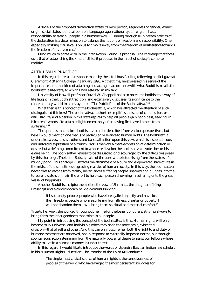Article 1 of the proposed declaration states, "Every person, regardless of gender, ethnic origin, social status, political opinion, language, age, nationality, or religion, has a responsibility to treat all people in a humane way." Running through all nineteen articles of the declaration is a determination to balance the notions of freedom and responsibility. One especially striking clause calls on us to "move away from the freedom of indifference towards the freedom of involvement."

 I find much to agree with in the Inter Action Council's proposal. The challenge that faces us is that of establishing the kind of ethics it proposes in the midst of society's complex realities.

# ALTRUISM IN PRACTICE

 In this regard, I recall a response made by the late Linus Pauling following a talk I gave at Claremont McKenna College in January 1993. At that time, he expressed his sense of the importance to humankind of attaining and acting in accordance with what Buddhism calls the bodhisattva life-state, to which I had referred in my talk.

 University of Hawaii professor David W. Chappell has also noted the bodhisattva way of life taught in the Buddhist tradition, and extensively discusses its significance to the contemporary world in an essay titled "The Public Role of the Bodhisattva."43

 What then is this concept of the bodhisattva, which has attracted the attention of such distinguished thinkers? The bodhisattva, in short, exemplifies the state of compassion, or altruistic life, and a person in this state aspires to help all people gain happiness, seeking, in Nichiren's words, "to attain enlightenment only after having first saved others from suffering."44

 The qualities that make a bodhisattva can be described from various perspectives, but here I would mention one that is of particular relevance to human rights. The bodhisattva undertakes a vow to save others and bases all action upon this vow, which is a spontaneous and unforced expression of altruism. Nor is the vow a mere expression of determination or desire, but a defining commitment to whose realization the bodhisattva devotes her or his entire being. The bodhisattva refuses to be dissuaded or discouraged by the difficulties posed by this challenge. The Lotus Sutra speaks of the pure white lotus rising from the waters of a muddy pond. This analogy illustrates the attainment of a pure and empowered state of life in the midst of the sometimes degrading realities of human society. In this way, the bodhisattva never tries to escape from reality, never leaves suffering people unsaved and plunges into the turbulent waters of life in the effort to help each person drowning in suffering onto the great vessel of happiness.

 Another Buddhist scripture describes the vow of Shrimala, the daughter of King Prasenajit and a contemporary of Shakyamuni Buddha:

> If I see lonely people, people who have been jailed unjustly and have lost their freedom, people who are suffering from illness, disaster or poverty, I will not abandon them. I will bring them spiritual and material comfort.<sup>45</sup>

True to her vow, she worked throughout her life for the benefit of others, striving always to bring forth the inner goodness that exists in all people.

 My point in introducing the concept of the bodhisattva is this: Human rights will only become truly universal and indivisible when they span the most basic, existential division—that of self and other. And this can only occur when both the right to and duty of humane treatment are observed, not in response to externally imposed norms, but through spontaneous action stemming from the naturally powerful desire to assist our fellows whose ability to live in a humane manner is under threat.

 In this regard, I would like to introduce the words of Upendra Baxi, an Indian law scholar, in his "Human Rights Education: The Promise of the Third Millennium?":

> The single most critical source of human rights is the consciousness of peoples of the world who have waged the most persistent struggles for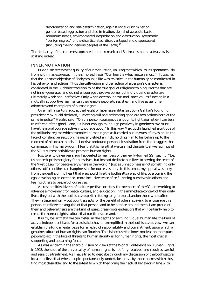decolonization and self-determination, against racial discrimination, gender-based aggression and discrimination, denial of access to basic minimum needs, environmental degradation and destruction, systematic "benign neglect" of the disarticulated, disadvantaged and dispossessed (including the indigenous peoples of the Earth).46

The similarity of the concerns expressed in this remark and Shrimala's bodhisattva vow is striking indeed.

# INNER MOTIVATION

 Buddhism stresses the quality of our motivation, valuing that which issues spontaneously from within, as expressed in the simple phrase, "Our heart is what matters most."47 It teaches that the ultimate objective of Shakyamuni's life was revealed in the humanity he manifested in his behavior and actions. Thus the cultivation and perfection of a person's character is considered in the Buddhist tradition to be the true goal of religious training. Norms that are not inner-generated and do not encourage the development of individual character are ultimately weak and ineffective. Only when external norms and inner values function in a mutually supportive manner can they enable people to resist evil and live as genuine advocates and champions of human rights.

 Over half a century ago, at the height of Japanese militarism, Soka Gakkai's founding president Makiguchi declared, "Rejecting evil and embracing good are two actions born of the same impulse." He also said, "Only a person courageous enough to fight against evil can be a true friend of the good," and, "It is not enough to indulge passively in goodness; we must have the moral courage actively to pursue good." In this way Makiguchi launched a critique of the militarist regime which trampled human rights as it carried out its wars of invasion. In the face of constant persecution, he never yielded an inch, holding firm to his beliefs up to the moment of his death in prison. I derive profound personal inspiration from the struggles that culminated in his martyrdom; I feel that it is here that we can find the spiritual wellsprings of the SGI's current activities to promote human rights.

 Just twenty-three years ago I appealed to members of the newly-formed SGI, saying, "Let us not seek praise or glory for ourselves, but instead dedicate our lives to sowing the seeds of the Mystic Law for peace everywhere in the world." Just as unhappiness is not something only others suffer, neither can happiness be for ourselves only. In this sense, my appeal was a cry from the depths of my heart that we should live the bodhisattva way of life: overcoming the ego, developing an extended, more inclusive sense of self—seeing ourselves in others and feeling others to be part of ourselves.

 As responsible citizens of their respective societies, the members of the SGI are working to advance a movement for peace, culture, and education. In the immediate context of their daily lives, they act with the bodhisattva spirit, refusing to ignore or abandon those who suffer. They initiate and carry out countless acts for the benefit of others, striving to encourage this person, to relieve the anguish of that person, and to help those around them. I am proud of them and believe theirs are the kind of quiet, grass-roots endeavors that will certainly help to create the human rights culture that our times demand.

 It is my belief that if we can foster, in the depths of each individual human life, the kind of active, independent basis for altruistic behavior exemplified in the bodhisattva's vow, we can establish the fundamental basis for an ethic of responsibility and commitment, upon which a genuine culture of human rights can flourish. This is because the inner motivation that spurs people to act in the face of threats to human dignity is, for human rights, the most crucial supporting and sustaining force.

 As was evident in the sharp division of views at the World Conference on Human Rights in 1993, the issue of the universality of human rights is not fully resolved and requires careful and sensitive treatment. As I have tried to describe through my discussion of the bodhisattva ideal, I believe that when people spontaneously undertake to live by those norms which they find most desirable, and to the extent to which they bring their actual behavior in line with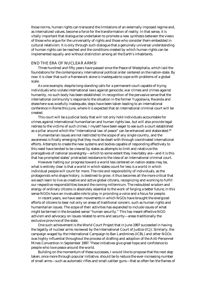those norms, human rights can transcend the limitations of an externally imposed regime and, as internalized values, become a force for the transformation of reality. In that sense, it is vitally important that dialogue be undertaken to promote a new synthesis between the views of those who argue for the universality of rights and those who consider them embedded in cultural relativism. It is only through such dialogue that a genuinely universal understanding of human rights can be reached and the conditions created by which human rights can be implemented equally and without distinction among all the Earth's inhabitants.

## END THE ERA OF NUCLEAR ARMS!

 Three hundred and fifty years have passed since the Peace of Westphalia, which laid the foundations for the contemporary international political order centered on the nation-state. By now it is clear that such a framework alone is inadequate to cope with problems of a global scale.

 As one example, despite long-standing calls for a permanent court capable of trying individuals who violate international laws against genocide, war crimes and crimes against humanity, no such body has been established. In recognition of the pervasive sense that the international community's response to the situation in the former Yugoslavia, Rwanda and elsewhere was woefully inadequate, steps have been taken leading to an international conference in Rome this June, where it is expected that an international criminal court will be created.

 This court will be a judicial body that will not only hold individuals accountable for crimes against international humanitarian and human rights law, but will also provide legal redress to the victims of such crimes. I myself have been eager to see such a court established as a pillar around which the "international law of peace" can be enhanced and elaborated.<sup>48</sup>

 Humanitarian issues are not restricted to the scope of any single country, and the awareness is finally emerging that they must be dealt with through coordinated international efforts. Attempts to create the new systems and bodies capable of responding effectively to this need have tended to be viewed by states as attempts to limit and relativize the prerogatives of national sovereignty—which to some extent they inevitably are—and it is this that has prompted states' protracted resistance to the idea of an international criminal court.

 However halting our progress toward a world less centered on nation-states may be, what is entirely clear is that a world in which states count for less is a world in which individual people will count for more. The role and responsibility of individuals, as the protagonists who shape history, is destined to grow; it thus becomes all the more critical that we each learn to live as creative and active global citizens, recognizing and working to fulfill our respective responsibilities toward the coming millennium. The redoubled wisdom and energy of ordinary citizens is absolutely essential to the work of forging a better future; in this sense NGOs have an invaluable role to play in providing a voice and a focus for people.

 In recent years, we have seen movements in which NGOs have brought the energized efforts of citizens to bear not only on areas of traditional concern, such as human rights and humanitarian issues. The scope of their activities has expanded to include issues of what might be termed in the broadest sense "human security." This has meant effective NGO activism and advocacy on issues related to arms and security—areas traditionally the exclusive province of the state.

 One such achievement is the World Court Project that in June 1997 succeeded in having the legality of nuclear arms reviewed by the International Court of Justice (ICJ). Similarly, the campaign waged by the International Campaign to Ban Landmines (ICBL) and other NGOs was highly influential throughout the process of drafting and adoption of the Anti-Personnel Mines Convention in September 1997. These initiatives give great hope and confidence to people who love peace around the world.

 Building on the momentum of these successes, I would like to propose that the next step taken, once more through popular initiative, should be to reduce the ever-increasing number of small arms—such as automatic rifles and small-caliber guns—that so often fan the flames of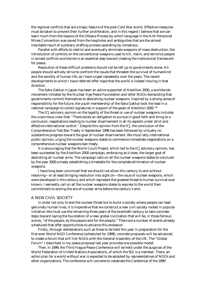the regional conflicts that are a tragic feature of the post-Cold War world. Effective measures must be taken to prevent their further proliferation, and in this regard I believe that we can learn much from the lessons of the Ottawa Process by which language in the Anti-Personnel Mines Convention was saved from the loopholes and ambiguities that are the almost inevitable result of a plenary drafting process operating by consensus.

 Parallel with efforts to restrict and eventually eliminate weapons of mass destruction, the introduction of controls on the conventional weapons used to kill, maim, and terrorize people in armed conflicts worldwide is an essential step toward creating the institutional framework for peace.

 Resolution of these difficult problems should not be left up to governments alone. All people should actively strive to confront the issues that threaten the survival of humankind and the sanctity of human life, as I have urged repeatedly over the years. The recent developments to which I have referred offer hope that the world is indeed moving in that direction.

 The Soka Gakkai in Japan has been an active supporter of Abolition 2000, a worldwide movement initiated by the Nuclear Age Peace Foundation and other NGOs demanding that governments commit themselves to abolishing nuclear weapons. Inspired by a strong sense of responsibility for the future, the youth membership of the Soka Gakkai took the lead in a national campaign to collect signatures in support of the goals of Abolition 2000. 49

 The ICJ advisory opinion on the legality of the threat or use of nuclear weapons includes the unanimous view that: "There exists an obligation to pursue in good faith and bring to a conclusion, negotiations leading to nuclear disarmament in all its aspects under strict and effective international control." Despite this opinion from the ICJ, the conclusion of the Comprehensive Test Ban Treaty in September 1996 has been followed by virtually no substantive progress toward the goal of nuclear disarmament. We must rally international public opinion, urging the nuclear weapons states to commence immediate negotiations on a comprehensive nuclear weapons ban treaty.

 It is encouraging that the World Court Project, which led to the ICJ advisory opinion, has been succeeded by the Abolition 2000 campaign, embracing as it does, the larger goal of abolishing all nuclear arms. The campaign calls on all the nuclear weapons states to conclude by the year 2000 a treaty establishing a timetable for the complete elimination of nuclear weapons.

 I have long been convinced that we should not allow this century to end without resolving—or at least bringing resolution into sight on—the issue of nuclear weapons, which were developed in this century and which represent the greatest threat to human survival ever known. I earnestly call on all the nuclear weapons states to express to the world their commitment to ending the era of nuclear arms before the century's end.

#### A NEW CIVIL SOCIETY

 In order not only to end the nuclear threat but to build a society where people can lead genuinely human lives, it is imperative that we construct a new civil society rooted in popular initiative. We must use the remaining three years of the twentieth century to take concrete steps toward laying the foundation of a new global civilization that will be, in those famous words, "of the people, by the people and for the people." There are a number of events already scheduled that offer opportunities to advance this endeavor.

 Firstly, through deliberations such as those to be held this year in preparation for the first-ever World NGO Conference (scheduled for 1999), concrete proposals will be advanced to create a forum that will link NGOs with the General Assembly of the UN. The "Global Forum" I described in my peace proposal last year provides one possible model.

 Then, in 1999, the Third Hague Peace Conference will be held under the auspices of the World Federation of United Nations Associations, of which the SGI is a member. There, an action plan for a world without war is expected to be adopted by representatives of NGOs and other organizations. The conference will convene to celebrate the Centennial of the 1899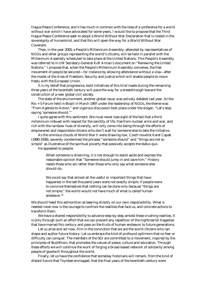Hague Peace Conference, and it has much in common with the idea of a conference for a world without war which I have advocated for some years. I would like to propose that the Third Hague Peace Conference seek to adopt a World Without War Declaration that is rooted in the sovereignty of humankind, and that this will open the way for a World Without War Covenant.

 Then, in the year 2000, a People's Millennium Assembly, attended by representatives of NGOs and other groups representing the world's citizens, will be held in parallel with the Millennium Assembly scheduled to take place at the United Nations. This People's Assembly was referred to in UN Secretary-General Kofi Annan's document on "Renewing the United Nations." I propose that, when the People's Millennium Assembly convenes, the free movement of people be secured—for instance by allowing attendance without a visa—after the model of the Area of Freedom, Security and Justice which will enable people to move freely with the European Union.

 It is my belief that progressive, bold initiatives of this kind made during the remaining three years of the twentieth century will pave the way for a breakthrough toward the construction of a new global civil society.

 The state of the environment, another global issue, was actively debated last year. At the Rio + 5 Forum held in Brazil in March 1997 under the leadership of NGOs, the theme was "From Agenda to Action," and vigorous discussion took place under the slogan, "Let's stop saying 'someone should."

 I quite agree with this sentiment. We must never lose sight of the fact that a third millennium imbued with respect for the sanctity of life, free from nuclear arms and war, and rich with the rainbow hues of diversity, will only come into being through the efforts of empowered and responsible citizens who don't wait for someone else to take the initiative.

 As the ominous clouds of World War II were drawing low, Czech novelist Karel Capek (1890-1938), severely condemned the phrases "someone should" and "things are not so simple" as illustrative of the spiritual poverty that passively accepts the status quo.

He appealed to people:

When someone is drowning, it is not enough to stand aside and express the reasonable opinion that "Someone should jump in and save him." History needs those who act rather than those who only say what someone else should do.

We could say that almost all the useful or important things that have happened in the last thousand years were not exactly simple. If people were to convince themselves that nothing can be done only because "things are not simple," the world would not have much of what is called human endeavor.50

We should heed this admonition as bearing directly on our own responsibility. What is needed most now is the courage to confront the realities that face us, and concrete actions to transform them.

 We have a shared responsibility to advance step-by-step amidst these crushing realities. It is only through such an effort that we can prevent any repetition of the nightmarish tragedies that have marred this century and pass on the fruits of human endeavor to future generations.

 Let us arise and act now, firm in the conviction that we are the world citizens who can shape and author future history. Let us embrace the kind of profound optimism that no fear or difficulty can conquer. The members of the SGI are committed to a movement, inspired by the principles of Buddhism, that promotes the values of peace, culture and education. Through these efforts we will continue the work of forging a broad-based network of solidarity among people of goodwill throughout the world.

 Finally, let us have the confidence that someday historians will remark, from the kind of distant future that Toynbee envisaged, that the final years of the twentieth century were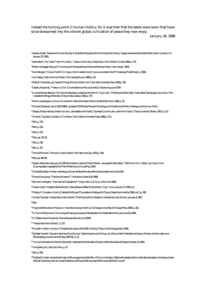indeed the turning point in human history; for it was then that the seeds were sown that have since blossomed into the vibrant global civilization of peace they now enjoy.

January 26, 1998

1 Daisaku Ikeda*,* "Peace and Human Security: A Buddhist Perspective for the Twenty-first Century"(paper presented at the East-West Center, Honolulu, HI, January 25, 1995).

2 Isaiah Berlin, *The Crooked Timber of Humanity - Chapters in the History of Ideas* (New York: Alfred A. Knopf, 1991), p. 175.

3 Martin Heidegger, *Being and Time,* trans. John Macquarrie and Edward Robinson (New York: Harper, 1962).

4 Henri Bergson, *Time and Free Will: An Essay on the Immediate Data of Consciousness* (rept. Kila, MT: Kessinger Publishing Co., 1996).

5 Leo Tolstoy, *Death of Ivan Ilyich* (New York: George Munro, 1888), p. 39.

6 Philip B. Yampolsky, ed., *Selected Writings of Nichiren* (New York: Columbia University Press, 1990) p. 136.

7 Daisaku Ikeda et al., "*Hokekyo no Chie"* (Conversations on the Lotus Sutra), *Daibyakurenge,* June 1997.

8 A concept transmitted by T'ien-t'ai to his disciples. Quoted by Nichiren in "*Ongi Kuden"* (The Record of the Orally Transmitted Teachings), *Gosho Zenshu* (The Collected Writings of Nichiren) (Tokyo: Soka Gakkai, 1952), p. 757.

9 Henri Louis Bergson, *Les Deux Sources de la Morale et de la Religion* (Paris: Librairie Felix Alcan, 1932), p. 30.

10 Konrad Zacharias Lorenz (1903-1989): Laureate of 1973 Nobel Prize for Physiology and Medicine with Niko Tinbergen and Karl von Frisch.

11 Shigeru Matsumoto ed., *Rekishi no Kyokun,* a translation of Arnold J. Toynbee's *Can We Learn Lessons from History?* (Tokyo: Iwanami Shoten, 1957), p. 213.

12 Arnold J. Toynbee, *Civilization on Trial* (New York: Oxford University Press, 1948), p. 213.

13 Ibid., p. 214.

<sup>14</sup> Ibid., p. 214.

15 Ibid., p. 215.

16 Ibid., pp. 215-16.

17 Ibid., p. 216.

18 Ibid., p. 221.

19 Yehudi Menuhin, *Theme and Variations* (New York: Stein and Day, 1972), p. 183.

20 Ibid., pp 184 -85.

21 Speech delivered on January 23, 1997 at Fondaciòn Valencia Tercer Milenia—as quoted in Eiji Hattori, "*3000 Nenki o Miru 'Sekaijin' ga Uttaeru Mono*" (Cosmopolitan Appeals for the Third Millennium), *Ronza* (May 1997).

22 A Buddhist deity in Indian mythology who symbolizes the natural forces that protect and nurture life.

23 Francis Fukuyama, "The End of History?" *The National Interest* (Fall 1989).

24 Samuel Huntington, "The Clash of Civilizations?" *Foreign Affairs*, vol. 72, no. 1 (Summer 1993).

25 Vaclav Havel, "Insights into the World, Uniting Responsibility for the World," *Daily Yomiuri,* January 27, 1997, p. 6.

<sup>26</sup>*Makiguchi Tsunesaburo Zenshu* (Collected Writings of Tsunesaburo Makiguchi) (Tokyo: Daisan Bummeisha, 1996), vol. 2, p. 399.

27 Arnold Toynbee, "Hiseiyo Bummei no Shorai" (The Future of Non-Western Civilizations)*, Asahi Shimbun,* January 6, 1957.

28 Ibid.

29 Hugh de Santis, *Beyond Progress: An Interpretive Odyssey to theFuture* (Chicago: University of Chicago Press, 1996), p. 202.

30 G-7 Summit Economic Communiqué: Making a Success of Globalization for the Benefit of All (Lyon: June 28, 1996).

31 G-7 Statement on Economic, Financial Issues (Denver: June 1997).

32 "Hiseiyo Bunmei no Shorai," p. 237.

<sup>33</sup>*Nijusseiki no Seishin no Kyokun* (The Spiritual Lessons of the 20th Century) (Tokyo: Ushio Shuppansha, 1996).

34 See Rajiv Gandhi, "Secular India Alone Can Survive," *Selected Speeches and Writings,* vol. 5 (New Delhi: Publications Division, Ministry of Information and Broadcasting, Government of India, 1987-91), p. 32.

35 "Human Education for World Citizenship" (address to the Education Division of the Soka Gakkai) (Osaka: October 22, 1991).

36 Yampolsky, ed., *Letters of Nichiren*, p. 37.

 $\frac{37 \text{hid}}{20 \text{hid}}$  p. 516.

38 The Earth Charter, whose benchmark draft was approved at the Rio + 5 Forum, has been crafted with assistance from international leaders, including cochairs Mikhail Gorbachev, former Soviet President, and Maurice Strong, head of the nonprofit Earth Council.